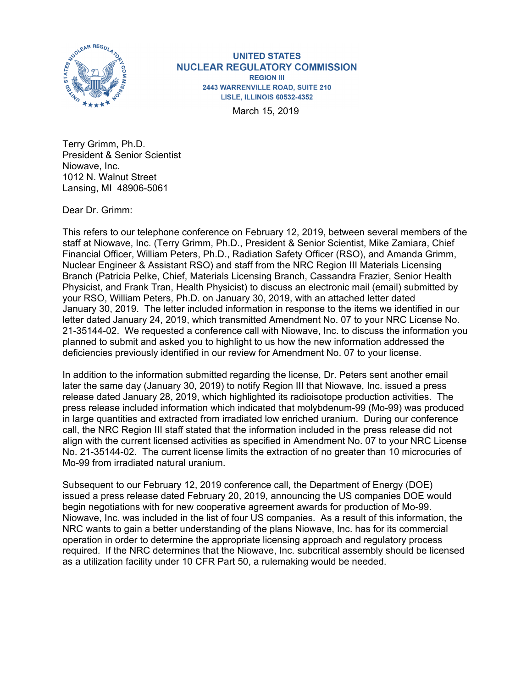

**UNITED STATES NUCLEAR REGULATORY COMMISSION REGION III** 2443 WARRENVILLE ROAD, SUITE 210 **LISLE, ILLINOIS 60532-4352** 

March 15, 2019

Terry Grimm, Ph.D. President & Senior Scientist Niowave, Inc. 1012 N. Walnut Street Lansing, MI 48906-5061

Dear Dr. Grimm:

This refers to our telephone conference on February 12, 2019, between several members of the staff at Niowave, Inc. (Terry Grimm, Ph.D., President & Senior Scientist, Mike Zamiara, Chief Financial Officer, William Peters, Ph.D., Radiation Safety Officer (RSO), and Amanda Grimm, Nuclear Engineer & Assistant RSO) and staff from the NRC Region III Materials Licensing Branch (Patricia Pelke, Chief, Materials Licensing Branch, Cassandra Frazier, Senior Health Physicist, and Frank Tran, Health Physicist) to discuss an electronic mail (email) submitted by your RSO, William Peters, Ph.D. on January 30, 2019, with an attached letter dated January 30, 2019. The letter included information in response to the items we identified in our letter dated January 24, 2019, which transmitted Amendment No. 07 to your NRC License No. 21-35144-02. We requested a conference call with Niowave, Inc. to discuss the information you planned to submit and asked you to highlight to us how the new information addressed the deficiencies previously identified in our review for Amendment No. 07 to your license.

In addition to the information submitted regarding the license, Dr. Peters sent another email later the same day (January 30, 2019) to notify Region III that Niowave, Inc. issued a press release dated January 28, 2019, which highlighted its radioisotope production activities. The press release included information which indicated that molybdenum-99 (Mo-99) was produced in large quantities and extracted from irradiated low enriched uranium. During our conference call, the NRC Region III staff stated that the information included in the press release did not align with the current licensed activities as specified in Amendment No. 07 to your NRC License No. 21-35144-02. The current license limits the extraction of no greater than 10 microcuries of Mo-99 from irradiated natural uranium.

Subsequent to our February 12, 2019 conference call, the Department of Energy (DOE) issued a press release dated February 20, 2019, announcing the US companies DOE would begin negotiations with for new cooperative agreement awards for production of Mo-99. Niowave, Inc. was included in the list of four US companies. As a result of this information, the NRC wants to gain a better understanding of the plans Niowave, Inc. has for its commercial operation in order to determine the appropriate licensing approach and regulatory process required. If the NRC determines that the Niowave, Inc. subcritical assembly should be licensed as a utilization facility under 10 CFR Part 50, a rulemaking would be needed.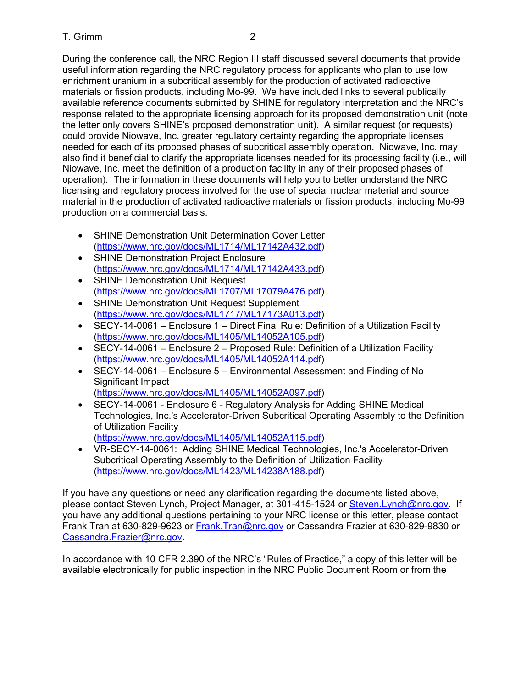During the conference call, the NRC Region III staff discussed several documents that provide useful information regarding the NRC regulatory process for applicants who plan to use low enrichment uranium in a subcritical assembly for the production of activated radioactive materials or fission products, including Mo-99. We have included links to several publically available reference documents submitted by SHINE for regulatory interpretation and the NRC's response related to the appropriate licensing approach for its proposed demonstration unit (note the letter only covers SHINE's proposed demonstration unit). A similar request (or requests) could provide Niowave, Inc. greater regulatory certainty regarding the appropriate licenses needed for each of its proposed phases of subcritical assembly operation. Niowave, Inc. may also find it beneficial to clarify the appropriate licenses needed for its processing facility (i.e., will Niowave, Inc. meet the definition of a production facility in any of their proposed phases of operation). The information in these documents will help you to better understand the NRC licensing and regulatory process involved for the use of special nuclear material and source material in the production of activated radioactive materials or fission products, including Mo-99 production on a commercial basis.

- SHINE Demonstration Unit Determination Cover Letter (https://www.nrc.gov/docs/ML1714/ML17142A432.pdf)
- SHINE Demonstration Project Enclosure (https://www.nrc.gov/docs/ML1714/ML17142A433.pdf)
- SHINE Demonstration Unit Request (https://www.nrc.gov/docs/ML1707/ML17079A476.pdf)
- SHINE Demonstration Unit Request Supplement (https://www.nrc.gov/docs/ML1717/ML17173A013.pdf)
- SECY-14-0061 Enclosure 1 Direct Final Rule: Definition of a Utilization Facility (https://www.nrc.gov/docs/ML1405/ML14052A105.pdf)
- SECY-14-0061 Enclosure 2 Proposed Rule: Definition of a Utilization Facility (https://www.nrc.gov/docs/ML1405/ML14052A114.pdf)
- SECY-14-0061 Enclosure 5 Environmental Assessment and Finding of No Significant Impact (https://www.nrc.gov/docs/ML1405/ML14052A097.pdf)
- SECY-14-0061 Enclosure 6 Regulatory Analysis for Adding SHINE Medical Technologies, Inc.'s Accelerator-Driven Subcritical Operating Assembly to the Definition of Utilization Facility

(https://www.nrc.gov/docs/ML1405/ML14052A115.pdf)

• VR-SECY-14-0061: Adding SHINE Medical Technologies, Inc.'s Accelerator-Driven Subcritical Operating Assembly to the Definition of Utilization Facility (https://www.nrc.gov/docs/ML1423/ML14238A188.pdf)

If you have any questions or need any clarification regarding the documents listed above, please contact Steven Lynch, Project Manager, at 301-415-1524 or Steven.Lynch@nrc.gov. If you have any additional questions pertaining to your NRC license or this letter, please contact Frank Tran at 630-829-9623 or Frank.Tran@nrc.gov or Cassandra Frazier at 630-829-9830 or Cassandra.Frazier@nrc.gov.

In accordance with 10 CFR 2.390 of the NRC's "Rules of Practice," a copy of this letter will be available electronically for public inspection in the NRC Public Document Room or from the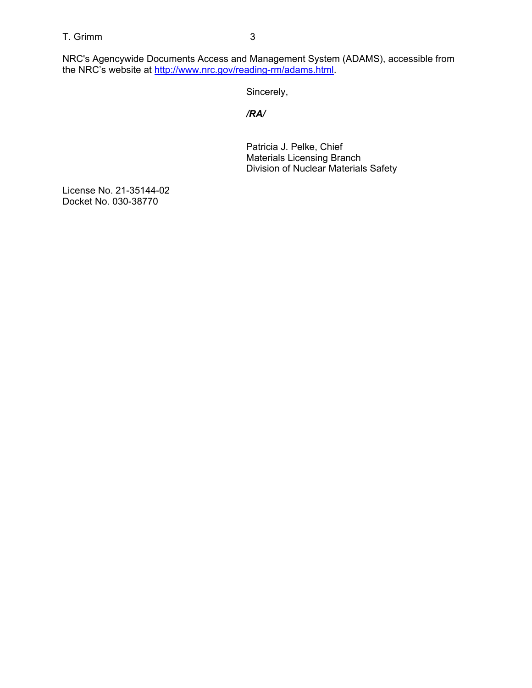T. Grimm 3

NRC's Agencywide Documents Access and Management System (ADAMS), accessible from the NRC's website at <u>http://www.nrc.gov/reading-rm/adams.html</u>.

Sincerely,

*/RA/*

Patricia J. Pelke, Chief Materials Licensing Branch Division of Nuclear Materials Safety

License No. 21-35144-02 Docket No. 030-38770